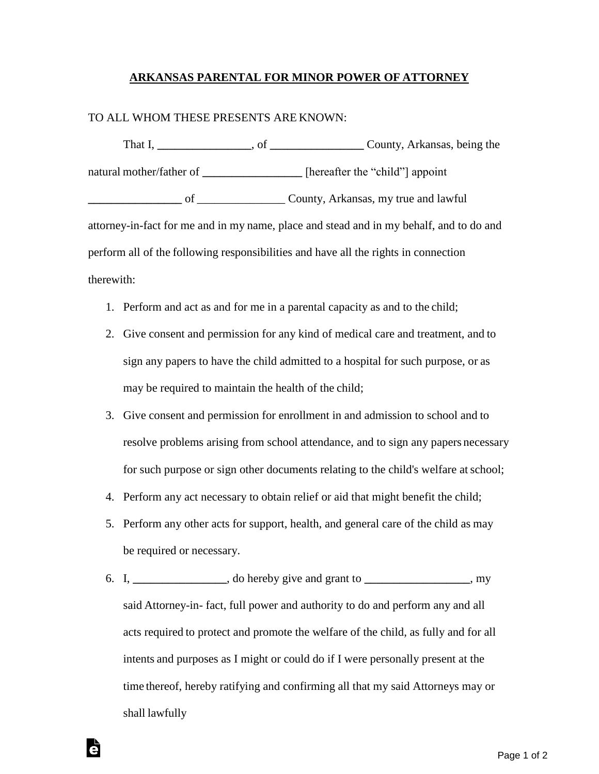## **ARKANSAS PARENTAL FOR MINOR POWER OF ATTORNEY**

## TO ALL WHOM THESE PRESENTS ARE KNOWN:

That I, **\_\_\_\_\_\_\_\_\_\_\_\_\_\_\_\_**, of **\_\_\_\_\_\_\_\_\_\_\_\_\_\_\_\_** County, Arkansas, being the natural mother/father of **\_\_\_\_\_\_\_\_\_\_\_\_\_\_** [hereafter the "child"] appoint **\_\_\_\_\_\_\_\_\_\_\_\_\_\_\_\_** of \_\_\_\_\_\_\_\_\_\_\_\_\_\_\_ County, Arkansas, my true and lawful attorney-in-fact for me and in my name, place and stead and in my behalf, and to do and perform all of the following responsibilities and have all the rights in connection therewith:

- 1. Perform and act as and for me in a parental capacity as and to the child;
- 2. Give consent and permission for any kind of medical care and treatment, and to sign any papers to have the child admitted to a hospital for such purpose, or as may be required to maintain the health of the child;
- 3. Give consent and permission for enrollment in and admission to school and to resolve problems arising from school attendance, and to sign any papers necessary for such purpose or sign other documents relating to the child's welfare atschool;
- 4. Perform any act necessary to obtain relief or aid that might benefit the child;
- 5. Perform any other acts for support, health, and general care of the child as may be required or necessary.
- 6. I, **\_\_\_\_\_\_\_\_\_\_\_\_\_\_\_\_**, do hereby give and grant to **\_\_\_\_\_\_\_\_\_\_\_\_\_\_\_\_\_\_**, my said Attorney-in- fact, full power and authority to do and perform any and all acts required to protect and promote the welfare of the child, as fully and for all intents and purposes as I might or could do if I were personally present at the time thereof, hereby ratifying and confirming all that my said Attorneys may or shall lawfully

ē